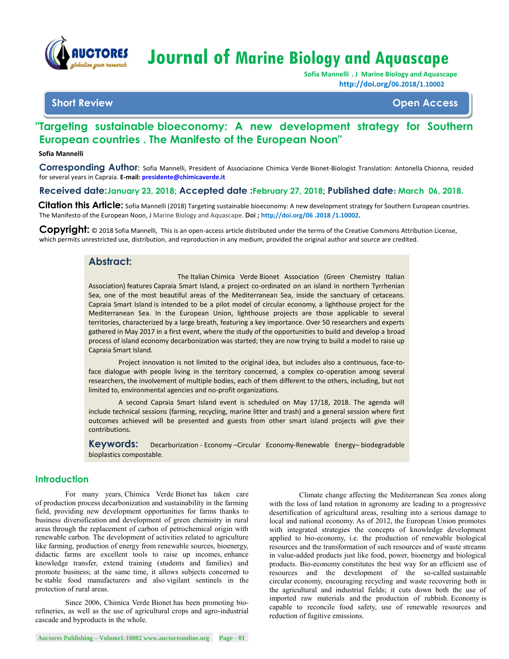

# **Journal of Marine Biology and Aquascape**

 **Sofia Mannelli . J Marine Biology and Aquascape http://doi.org/06.2018/1.10002**

# **Short Review Open Access**

# **"Targeting sustainable bioeconomy: A new development strategy for Southern European countries . The Manifesto of the European Noon"**

#### **Sofia Mannelli**

**Corresponding Author**: Sofia Mannelli, President of Associazione Chimica Verde Bionet-Biologist Translation: Antonella Chionna, resided for several years in Capraia. **E-mail: [presidente@chimicaverde.it](mailto:presidente@chimicaverde.it)**

#### **Received date:January 23, 2018**; **Accepted date :February 27, 2018**; **Published date: March 06, 2018.**

Citation this Article: Sofia Mannelli (2018) Targeting sustainable bioeconomy: A new development strategy for Southern European countries. The Manifesto of the European Noon, J Marine Biology and Aquascape. **Doi ; http;//doi.org/06 .2018 /1.10002.**

**Copyright:** © 2018 Sofia Mannelli, This is an open-access article distributed under the terms of the Creative Commons Attribution License, which permits unrestricted use, distribution, and reproduction in any medium, provided the original author and source are credited.

## **Abstract:**

The Italian Chimica Verde Bionet Association (Green Chemistry Italian Association) features Capraia Smart Island, a project co-ordinated on an island in northern Tyrrhenian Sea, one of the most beautiful areas of the Mediterranean Sea, inside the sanctuary of cetaceans. Capraia Smart Island is intended to be a pilot model of circular economy, a lighthouse project for the Mediterranean Sea. In the European Union, lighthouse projects are those applicable to several territories, characterized by a large breath, featuring a key importance. Over 50 researchers and experts gathered in May 2017 in a first event, where the study of the opportunities to build and develop a broad process of island economy decarbonization was started; they are now trying to build a model to raise up Capraia Smart Island.

Project innovation is not limited to the original idea, but includes also a continuous, face-toface dialogue with people living in the territory concerned, a complex co-operation among several researchers, the involvement of multiple bodies, each of them different to the others, including, but not limited to, environmental agencies and no-profit organizations.

A second Capraia Smart Island event is scheduled on May 17/18, 2018. The agenda will include technical sessions (farming, recycling, marine litter and trash) and a general session where first outcomes achieved will be presented and guests from other smart island projects will give their contributions.

**Keywords:** Decarburization - Economy –Circular Economy-Renewable Energy– biodegradable bioplastics compostable.

## **Introduction**

For many years, Chimica Verde Bionet has taken care of production process decarbonization and sustainability in the farming field, providing new development opportunities for farms thanks to business diversification and development of green chemistry in rural areas through the replacement of carbon of petrochemical origin with renewable carbon. The development of activities related to agriculture like farming, production of energy from renewable sources, bioenergy, didactic farms are excellent tools to raise up incomes, enhance knowledge transfer, extend training (students and families) and promote business; at the same time, it allows subjects concerned to be stable food manufacturers and also vigilant sentinels in the protection of rural areas.

Since 2006, Chimica Verde Bionet has been promoting biorefineries, as well as the use of agricultural crops and agro-industrial cascade and byproducts in the whole.

Climate change affecting the Mediterranean Sea zones along with the loss of land rotation in agronomy are leading to a progressive desertification of agricultural areas, resulting into a serious damage to local and national economy. As of 2012, the European Union promotes with integrated strategies the concepts of knowledge development applied to bio-economy, i.e. the production of renewable biological resources and the transformation of such resources and of waste streams in value-added products just like food, power, bioenergy and biological products. Bio-economy constitutes the best way for an efficient use of resources and the development of the so-called sustainable circular economy, encouraging recycling and waste recovering both in the agricultural and industrial fields; it cuts down both the use of imported raw materials and the production of rubbish. Economy is capable to reconcile food safety, use of renewable resources and reduction of fugitive emissions.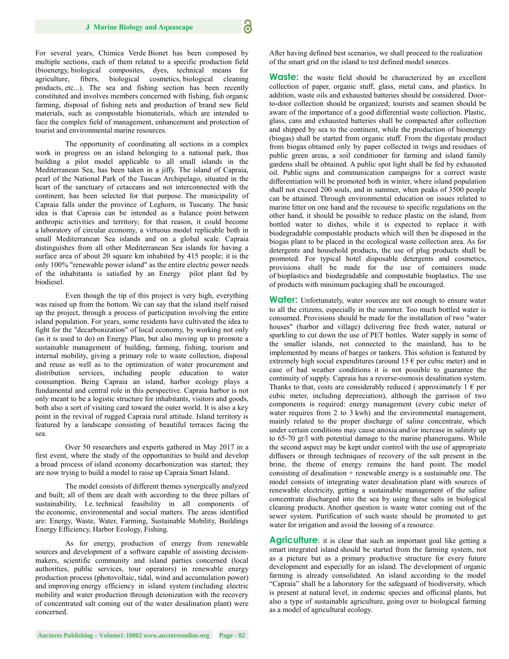For several years, Chimica Verde Bionet has been composed by multiple sections, each of them related to a specific production field (bioenergy, biological composites, dyes, technical means for agriculture, fibers, biological cosmetics, biological cleaning products, etc...). The sea and fishing section has been recently constituted and involves members concerned with fishing, fish organic farming, disposal of fishing nets and production of brand new field materials, such as compostable biomaterials, which are intended to face the complex field of management, enhancement and protection of tourist and environmental marine resources.

The opportunity of coordinating all sections in a complex work in progress on an island belonging to a national park, thus building a pilot model applicable to all small islands in the Mediterranean Sea, has been taken in a jiffy. The island of Capraia, pearl of the National Park of the Tuscan Archipelago, situated in the heart of the sanctuary of cetaceans and not interconnected with the continent, has been selected for that purpose. The municipality of Capraia falls under the province of Leghorn, in Tuscany. The basic idea is that Capraia can be intended as a balance point between anthropic activities and territory; for that reason, it could become a laboratory of circular economy, a virtuous model replicable both in small Mediterranean Sea islands and on a global scale. Capraia distinguishes from all other Mediterranean Sea islands for having a surface area of about 20 square km inhabited by 415 people; it is the only 100% "renewable power island" as the entire electric power needs of the inhabitants is satisfied by an Energy pilot plant fed by biodiesel.

Even though the tip of this project is very high, everything was raised up from the bottom. We can say that the island itself raised up the project, through a process of participation involving the entire island population. For years, some residents have cultivated the idea to fight for the "decarbonization" of local economy, by working not only (as it is used to do) on Energy Plan, but also moving up to promote a sustainable management of building, farming, fishing, tourism and internal mobility, giving a primary role to waste collection, disposal and reuse as well as to the optimization of water procurement and distribution services, including people education to water consumption. Being Capraia an island, harbor ecology plays a fundamental and central role in this perspective. Capraia harbor is not only meant to be a logistic structure for inhabitants, visitors and goods, both also a sort of visiting card toward the outer world. It is also a key point in the revival of rugged Capraia rural attitude. Island territory is featured by a landscape consisting of beautiful terraces facing the sea.

Over 50 researchers and experts gathered in May 2017 in a first event, where the study of the opportunities to build and develop a broad process of island economy decarbonization was started; they are now trying to build a model to raise up Capraia Smart Island.

The model consists of different themes synergically analyzed and built; all of them are dealt with according to the three pillars of sustainability, I.e. technical feasibility in all components of the economic, environmental and social matters. The areas identified are: Energy, Waste, Water, Farming, Sustainable Mobility, Buildings Energy Efficiency, Harbor Ecology, Fishing.

As for energy, production of energy from renewable sources and development of a software capable of assisting decisionmakers, scientific community and island parties concerned (local authorities, public services, tour operators) in renewable energy production process (photovoltaic, tidal, wind and accumulation power) and improving energy efficiency in island system (including electric mobility and water production through deionization with the recovery of concentrated salt coming out of the water desalination plant) were concerned.

After having defined best scenarios, we shall proceed to the realization of the smart grid on the island to test defined model sources.

**Waste:** the waste field should be characterized by an excellent collection of paper, organic stuff, glass, metal cans, and plastics. In addition, waste oils and exhausted batteries should be considered. Doorto-door collection should be organized; tourists and seamen should be aware of the importance of a good differential waste collection. Plastic, glass, cans and exhausted batteries shall be compacted after collection and shipped by sea to the continent, while the production of bioenergy (biogas) shall be started from organic stuff. From the digestate product from biogas obtained only by paper collected in twigs and residues of public green areas, a soil conditioner for farming and island family gardens shall be obtained. A public spot light shall be fed by exhausted oil. Public signs and communication campaigns for a correct waste differentiation will be promoted both in winter, where island population shall not exceed 200 souls, and in summer, when peaks of 3500 people can be attained. Through environmental education on issues related to marine litter on one hand and the recourse to specific regulations on the other hand, it should be possible to reduce plastic on the island, from bottled water to dishes, while it is expected to replace it with biodegradable compostable products which will then be disposed in the biogas plant to be placed in the ecological waste collection area. As for detergents and household products, the use of plug products shall be promoted. For typical hotel disposable detergents and cosmetics, provisions shall be made for the use of containers made of bioplastics and biodegradable and compostable bioplastics. The use of products with minimum packaging shall be encouraged.

Water: Unfortunately, water sources are not enough to ensure water to all the citizens, especially in the summer. Too much bottled water is consumed. Provisions should be made for the installation of two "water houses" (harbor and village) delivering free fresh water, natural or sparkling to cut down the use of PET bottles. Water supply in some of the smaller islands, not connected to the mainland, has to be implemented by means of barges or tankers. This solution is featured by extremely high social expenditures (around 15  $\epsilon$  per cubic meter) and in case of bad weather conditions it is not possible to guarantee the continuity of supply. Capraia has a reverse-osmosis desalination system. Thanks to that, costs are considerably reduced ( approximately  $1 \in per$ cubic meter, including depreciation), although the garrison of two components is required: energy management (every cubic meter of water requires from 2 to 3 kwh) and the environmental management, mainly related to the proper discharge of saline concentrate, which under certain conditions may cause anoxia and/or increase in salinity up to 65-70 gr/l with potential damage to the marine phanerogams. While the second aspect may be kept under control with the use of appropriate diffusers or through techniques of recovery of the salt present in the brine, the theme of energy remains the hard point. The model consisting of desalination + renewable energy is a sustainable one. The model consists of integrating water desalination plant with sources of renewable electricity, getting a sustainable management of the saline concentrate discharged into the sea by using these salts in biological cleaning products. Another question is waste water coming out of the sewer system. Purification of such waste should be promoted to get water for irrigation and avoid the loosing of a resource.

**Agriculture**: it is clear that such an important goal like getting a smart integrated island should be started from the farming system, not as a picture but as a primary productive structure for every future development and especially for an island. The development of organic farming is already consolidated. An island according to the model "Capraia" shall be a laboratory for the safeguard of biodiversity, which is present at natural level, in endemic species and officinal plants, but also a type of sustainable agriculture, going over to biological farming as a model of agricultural ecology.